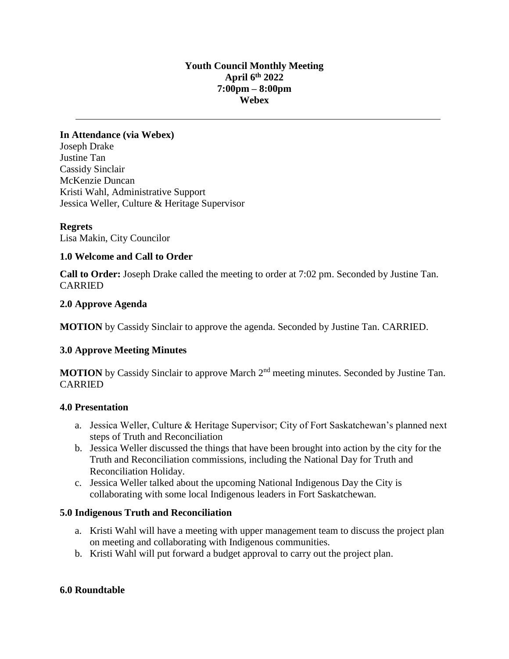## **Youth Council Monthly Meeting April 6th 2022 7:00pm – 8:00pm Webex**

## **In Attendance (via Webex)** Joseph Drake Justine Tan Cassidy Sinclair McKenzie Duncan Kristi Wahl, Administrative Support Jessica Weller, Culture & Heritage Supervisor

## **Regrets**

Lisa Makin, City Councilor

## **1.0 Welcome and Call to Order**

**Call to Order:** Joseph Drake called the meeting to order at 7:02 pm. Seconded by Justine Tan. CARRIED

## **2.0 Approve Agenda**

**MOTION** by Cassidy Sinclair to approve the agenda. Seconded by Justine Tan. CARRIED.

## **3.0 Approve Meeting Minutes**

**MOTION** by Cassidy Sinclair to approve March 2<sup>nd</sup> meeting minutes. Seconded by Justine Tan. CARRIED

#### **4.0 Presentation**

- a. Jessica Weller, Culture & Heritage Supervisor; City of Fort Saskatchewan's planned next steps of Truth and Reconciliation
- b. Jessica Weller discussed the things that have been brought into action by the city for the Truth and Reconciliation commissions, including the National Day for Truth and Reconciliation Holiday.
- c. Jessica Weller talked about the upcoming National Indigenous Day the City is collaborating with some local Indigenous leaders in Fort Saskatchewan.

#### **5.0 Indigenous Truth and Reconciliation**

- a. Kristi Wahl will have a meeting with upper management team to discuss the project plan on meeting and collaborating with Indigenous communities.
- b. Kristi Wahl will put forward a budget approval to carry out the project plan.

#### **6.0 Roundtable**